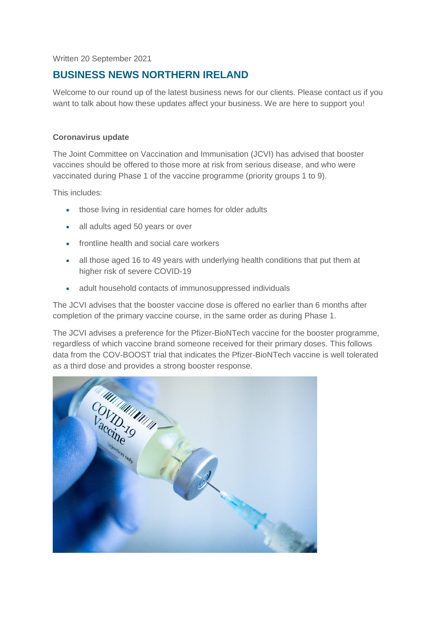Written 20 September 2021

# **BUSINESS NEWS NORTHERN IRELAND**

Welcome to our round up of the latest business news for our clients. Please contact us if you want to talk about how these updates affect your business. We are here to support you!

# **Coronavirus update**

The Joint Committee on Vaccination and Immunisation (JCVI) has advised that booster vaccines should be offered to those more at risk from serious disease, and who were vaccinated during Phase 1 of the vaccine programme (priority groups 1 to 9).

This includes:

- those living in residential care homes for older adults
- all adults aged 50 years or over
- frontline health and social care workers
- all those aged 16 to 49 years with underlying health conditions that put them at higher risk of severe COVID-19
- adult household contacts of immunosuppressed individuals

The JCVI advises that the booster vaccine dose is offered no earlier than 6 months after completion of the primary vaccine course, in the same order as during Phase 1.

The JCVI advises a preference for the Pfizer-BioNTech vaccine for the booster programme, regardless of which vaccine brand someone received for their primary doses. This follows data from the COV-BOOST trial that indicates the Pfizer-BioNTech vaccine is well tolerated as a third dose and provides a strong booster response.

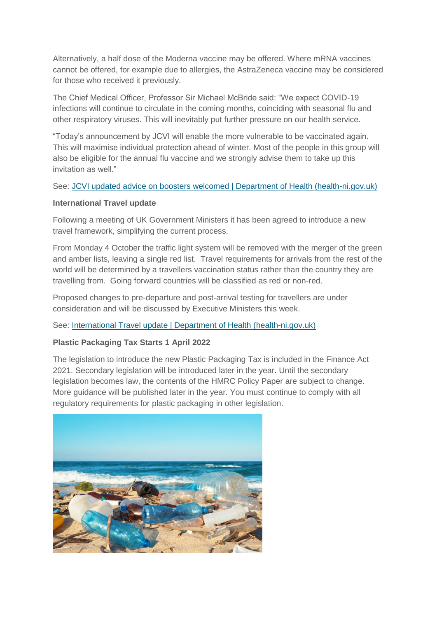Alternatively, a half dose of the Moderna vaccine may be offered. Where mRNA vaccines cannot be offered, for example due to allergies, the AstraZeneca vaccine may be considered for those who received it previously.

The Chief Medical Officer, Professor Sir Michael McBride said: "We expect COVID-19 infections will continue to circulate in the coming months, coinciding with seasonal flu and other respiratory viruses. This will inevitably put further pressure on our health service.

"Today's announcement by JCVI will enable the more vulnerable to be vaccinated again. This will maximise individual protection ahead of winter. Most of the people in this group will also be eligible for the annual flu vaccine and we strongly advise them to take up this invitation as well."

## See: [JCVI updated advice on boosters welcomed | Department of Health \(health-ni.gov.uk\)](http://www.health-ni.gov.uk/news/jcvi-updated-advice-boosters-welcomed)

## **International Travel update**

Following a meeting of UK Government Ministers it has been agreed to introduce a new travel framework, simplifying the current process.

From Monday 4 October the traffic light system will be removed with the merger of the green and amber lists, leaving a single red list. Travel requirements for arrivals from the rest of the world will be determined by a travellers vaccination status rather than the country they are travelling from. Going forward countries will be classified as red or non-red.

Proposed changes to pre-departure and post-arrival testing for travellers are under consideration and will be discussed by Executive Ministers this week.

See: [International Travel update | Department](http://www.health-ni.gov.uk/news/international-travel-update-2) of Health (health-ni.gov.uk)

# **Plastic Packaging Tax Starts 1 April 2022**

The legislation to introduce the new Plastic Packaging Tax is included in the Finance Act 2021. Secondary legislation will be introduced later in the year. Until the secondary legislation becomes law, the contents of the HMRC Policy Paper are subject to change. More guidance will be published later in the year. You must continue to comply with all regulatory requirements for plastic packaging in other legislation.

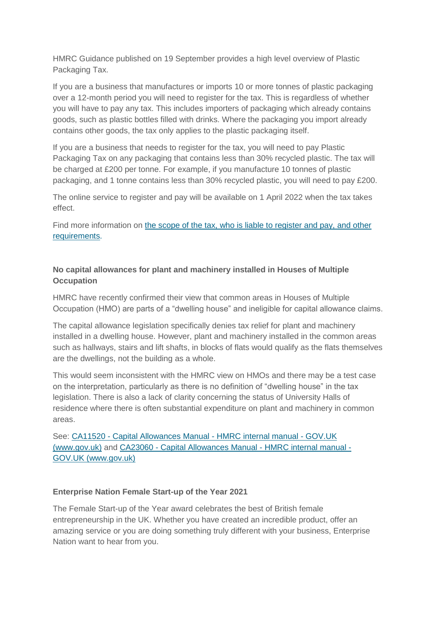HMRC Guidance published on 19 September provides a high level overview of Plastic Packaging Tax.

If you are a business that manufactures or imports 10 or more tonnes of plastic packaging over a 12-month period you will need to register for the tax. This is regardless of whether you will have to pay any tax. This includes importers of packaging which already contains goods, such as plastic bottles filled with drinks. Where the packaging you import already contains other goods, the tax only applies to the plastic packaging itself.

If you are a business that needs to register for the tax, you will need to pay Plastic Packaging Tax on any packaging that contains less than 30% recycled plastic. The tax will be charged at £200 per tonne. For example, if you manufacture 10 tonnes of plastic packaging, and 1 tonne contains less than 30% recycled plastic, you will need to pay £200.

The online service to register and pay will be available on 1 April 2022 when the tax takes effect.

Find more information on [the scope of the tax, who is liable to register and pay, and other](https://gov.uk/government/publications/get-your-business-ready-for-the-plastic-packaging-tax/further-information-for-businesses)  [requirements.](https://gov.uk/government/publications/get-your-business-ready-for-the-plastic-packaging-tax/further-information-for-businesses)

# **No capital allowances for plant and machinery installed in Houses of Multiple Occupation**

HMRC have recently confirmed their view that common areas in Houses of Multiple Occupation (HMO) are parts of a "dwelling house" and ineligible for capital allowance claims.

The capital allowance legislation specifically denies tax relief for plant and machinery installed in a dwelling house. However, plant and machinery installed in the common areas such as hallways, stairs and lift shafts, in blocks of flats would qualify as the flats themselves are the dwellings, not the building as a whole.

This would seem inconsistent with the HMRC view on HMOs and there may be a test case on the interpretation, particularly as there is no definition of "dwelling house" in the tax legislation. There is also a lack of clarity concerning the status of University Halls of residence where there is often substantial expenditure on plant and machinery in common areas.

See: CA11520 - [Capital Allowances Manual -](https://www.gov.uk/hmrc-internal-manuals/capital-allowances-manual/ca11520) HMRC internal manual - GOV.UK [\(www.gov.uk\)](https://www.gov.uk/hmrc-internal-manuals/capital-allowances-manual/ca11520) and CA23060 - [Capital Allowances Manual -](https://www.gov.uk/hmrc-internal-manuals/capital-allowances-manual/ca23060) HMRC internal manual - [GOV.UK \(www.gov.uk\)](https://www.gov.uk/hmrc-internal-manuals/capital-allowances-manual/ca23060)

#### **Enterprise Nation Female Start-up of the Year 2021**

The Female Start-up of the Year award celebrates the best of British female entrepreneurship in the UK. Whether you have created an incredible product, offer an amazing service or you are doing something truly different with your business, Enterprise Nation want to hear from you.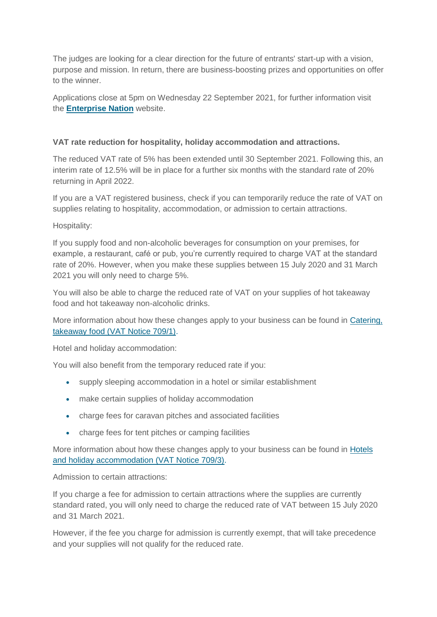The judges are looking for a clear direction for the future of entrants' start-up with a vision, purpose and mission. In return, there are business-boosting prizes and opportunities on offer to the winner.

Applications close at 5pm on Wednesday 22 September 2021, for further information visit the **[Enterprise Nation](https://www.enterprisenation.com/learn-something/female-start-up-of-the-year-2021/?_cldee=bWFuZHkuYmFpbkBnb3Yud2FsZXM%3D&utm_medium=email&recipientid=lead-998a34a01cb9e911a97e002248072abd-176d665a1a134cbc958b47cd232d758a&utm_campaign=content_promotion&utm_content=newsletter250821&utm_source=newsletter&esid=1653db60-e004-ec11-b6e6-00224841d557)** website.

# **VAT rate reduction for hospitality, holiday accommodation and attractions.**

The reduced VAT rate of 5% has been extended until 30 September 2021. Following this, an interim rate of 12.5% will be in place for a further six months with the standard rate of 20% returning in April 2022.

If you are a VAT registered business, check if you can temporarily reduce the rate of VAT on supplies relating to hospitality, accommodation, or admission to certain attractions.

Hospitality:

If you supply food and non-alcoholic beverages for consumption on your premises, for example, a restaurant, café or pub, you're currently required to charge VAT at the standard rate of 20%. However, when you make these supplies between 15 July 2020 and 31 March 2021 you will only need to charge 5%.

You will also be able to charge the reduced rate of VAT on your supplies of hot takeaway food and hot takeaway non-alcoholic drinks.

More information about how these changes apply to your business can be found in [Catering,](https://www.gov.uk/guidance/catering-takeaway-food-and-vat-notice-7091)  [takeaway food \(VAT Notice 709/1\).](https://www.gov.uk/guidance/catering-takeaway-food-and-vat-notice-7091)

Hotel and holiday accommodation:

You will also benefit from the temporary reduced rate if you:

- supply sleeping accommodation in a hotel or similar establishment
- make certain supplies of holiday accommodation
- charge fees for caravan pitches and associated facilities
- charge fees for tent pitches or camping facilities

More information about how these changes apply to your business can be found in [Hotels](https://www.gov.uk/guidance/hotels-holiday-accommodation-and-vat-notice-7093)  [and holiday accommodation \(VAT Notice 709/3\).](https://www.gov.uk/guidance/hotels-holiday-accommodation-and-vat-notice-7093)

Admission to certain attractions:

If you charge a fee for admission to certain attractions where the supplies are currently standard rated, you will only need to charge the reduced rate of VAT between 15 July 2020 and 31 March 2021.

However, if the fee you charge for admission is currently exempt, that will take precedence and your supplies will not qualify for the reduced rate.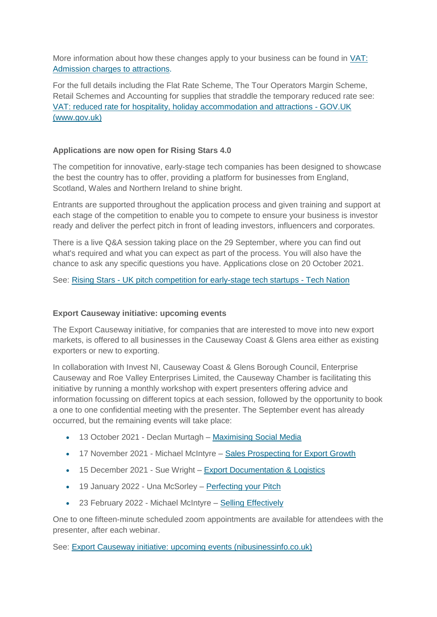More information about how these changes apply to your business can be found in [VAT:](https://www.gov.uk/guidance/vat-on-admission-charges-to-attractions)  [Admission charges to attractions.](https://www.gov.uk/guidance/vat-on-admission-charges-to-attractions)

For the full details including the Flat Rate Scheme, The Tour Operators Margin Scheme, Retail Schemes and Accounting for supplies that straddle the temporary reduced rate see: [VAT: reduced rate for hospitality, holiday accommodation and attractions -](https://www.gov.uk/guidance/vat-reduced-rate-for-hospitality-holiday-accommodation-and-attractions) GOV.UK [\(www.gov.uk\)](https://www.gov.uk/guidance/vat-reduced-rate-for-hospitality-holiday-accommodation-and-attractions)

## **Applications are now open for Rising Stars 4.0**

The competition for innovative, early-stage tech companies has been designed to showcase the best the country has to offer, providing a platform for businesses from England, Scotland, Wales and Northern Ireland to shine bright.

Entrants are supported throughout the application process and given training and support at each stage of the competition to enable you to compete to ensure your business is investor ready and deliver the perfect pitch in front of leading investors, influencers and corporates.

There is a live Q&A session taking place on the 29 September, where you can find out what's required and what you can expect as part of the process. You will also have the chance to ask any specific questions you have. Applications close on 20 October 2021.

See: Rising Stars - [UK pitch competition for early-stage tech startups -](https://technation.io/programmes/rising-stars/?utm_campaign=Rising%20Stars%204.0&utm_medium=email&_hsmi=156782179&_hsenc=p2ANqtz-9i3emnpQEkRwxoZ9cdufzT36E38mmDbQdybKZh9KnofPce5iUepAbBbLR1_uMhOFv8TPNemkxnP23NpOiNJ2e0YUhbTw&utm_content=156782179&utm_source=hs_email) Tech Nation

#### **Export Causeway initiative: upcoming events**

The Export Causeway initiative, for companies that are interested to move into new export markets, is offered to all businesses in the Causeway Coast & Glens area either as existing exporters or new to exporting.

In collaboration with Invest NI, Causeway Coast & Glens Borough Council, Enterprise Causeway and Roe Valley Enterprises Limited, the Causeway Chamber is facilitating this initiative by running a monthly workshop with expert presenters offering advice and information focussing on different topics at each session, followed by the opportunity to book a one to one confidential meeting with the presenter. The September event has already occurred, but the remaining events will take place:

- 13 October 2021 Declan Murtagh [Maximising Social Media](https://www.events.nibusinessinfo.co.uk/en/events/export-causeway-maximising-social-media/)
- 17 November 2021 Michael McIntyre [Sales Prospecting for Export Growth](https://www.events.nibusinessinfo.co.uk/en/events/export-causeway-sales-prospecting-for-export-growth/)
- 15 December 2021 Sue Wright [Export Documentation & Logistics](https://www.events.nibusinessinfo.co.uk/en/events/export-causeway-export-documentations-logistics/)
- 19 January 2022 Una McSorley [Perfecting your Pitch](https://www.events.nibusinessinfo.co.uk/en/events/export-causeway-perfecting-your-pitch/)
- 23 February 2022 Michael McIntyre [Selling Effectively](https://www.events.nibusinessinfo.co.uk/en/events/export-causeway-selling-effectively/)

One to one fifteen-minute scheduled zoom appointments are available for attendees with the presenter, after each webinar.

See: [Export Causeway initiative: upcoming events \(nibusinessinfo.co.uk\)](https://www.nibusinessinfo.co.uk/content/export-causeway-initiative-upcoming-events)